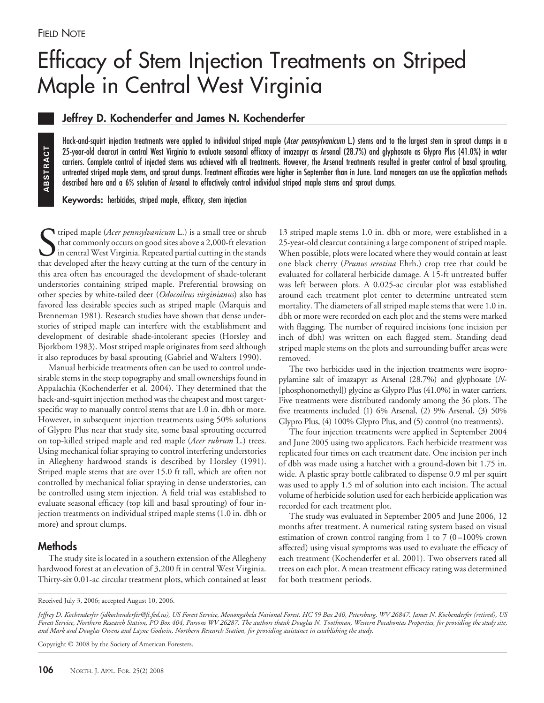# Efficacy of Stem Injection Treatments on Striped Maple in Central West Virginia

## **Jeffrey D. Kochenderfer and James N. Kochenderfer**

Hack-and-squirt injection treatments were applied to individual striped maple (*Acer pennsylvanicum* L.) stems and to the largest stem in sprout clumps in a 25-year-old clearcut in central West Virginia to evaluate seasonal efficacy of imazapyr as Arsenal (28.7%) and glyphosate as Glypro Plus (41.0%) in water carriers. Complete control of injected stems was achieved with all treatments. However, the Arsenal treatments resulted in greater control of basal sprouting, untreated striped maple stems, and sprout clumps. Treatment efficacies were higher in September than in June. Land managers can use the application methods described here and a 6% solution of Arsenal to effectively control individual striped maple stems and sprout clumps.

**Keywords:** herbicides, striped maple, efficacy, stem injection

Suriped maple (*Acer pennsylvanicum* L.) is a small tree or shrub that commonly occurs on good sites above a 2,000-ft elevation in central West Virginia. Repeated partial cutting in the stands that developed after the heav triped maple (*Acer pennsylvanicum* L.) is a small tree or shrub that commonly occurs on good sites above a 2,000-ft elevation in central West Virginia. Repeated partial cutting in the stands this area often has encouraged the development of shade-tolerant understories containing striped maple. Preferential browsing on other species by white-tailed deer (*Odocoileus virginianus*) also has favored less desirable species such as striped maple (Marquis and Brenneman 1981). Research studies have shown that dense understories of striped maple can interfere with the establishment and development of desirable shade-intolerant species (Horsley and Bjorkbom 1983). Most striped maple originates from seed although it also reproduces by basal sprouting (Gabriel and Walters 1990).

Manual herbicide treatments often can be used to control undesirable stems in the steep topography and small ownerships found in Appalachia (Kochenderfer et al. 2004). They determined that the hack-and-squirt injection method was the cheapest and most targetspecific way to manually control stems that are 1.0 in. dbh or more. However, in subsequent injection treatments using 50% solutions of Glypro Plus near that study site, some basal sprouting occurred on top-killed striped maple and red maple (*Acer rubrum* L.) trees. Using mechanical foliar spraying to control interfering understories in Allegheny hardwood stands is described by Horsley (1991). Striped maple stems that are over 15.0 ft tall, which are often not controlled by mechanical foliar spraying in dense understories, can be controlled using stem injection. A field trial was established to evaluate seasonal efficacy (top kill and basal sprouting) of four injection treatments on individual striped maple stems (1.0 in. dbh or more) and sprout clumps. 25-year-old dearcut in central West<br>unrises. Complete control of injecte<br>unreaded striped maple stems, and<br>userable there and a 6% solution of<br>sescribed here and a 6% solution of<br>the described here and a 6% solution of<br>the

### **Methods**

The study site is located in a southern extension of the Allegheny hardwood forest at an elevation of 3,200 ft in central West Virginia. Thirty-six 0.01-ac circular treatment plots, which contained at least

13 striped maple stems 1.0 in. dbh or more, were established in a 25-year-old clearcut containing a large component of striped maple. When possible, plots were located where they would contain at least one black cherry (*Prunus serotina* Ehrh.) crop tree that could be evaluated for collateral herbicide damage. A 15-ft untreated buffer was left between plots. A 0.025-ac circular plot was established around each treatment plot center to determine untreated stem mortality. The diameters of all striped maple stems that were 1.0 in. dbh or more were recorded on each plot and the stems were marked with flagging. The number of required incisions (one incision per inch of dbh) was written on each flagged stem. Standing dead striped maple stems on the plots and surrounding buffer areas were removed.

The two herbicides used in the injection treatments were isopropylamine salt of imazapyr as Arsenal (28.7%) and glyphosate (*N*- [phosphonomethyl]) glycine as Glypro Plus (41.0%) in water carriers. Five treatments were distributed randomly among the 36 plots. The five treatments included (1) 6% Arsenal, (2) 9% Arsenal, (3) 50% Glypro Plus, (4) 100% Glypro Plus, and (5) control (no treatments).

The four injection treatments were applied in September 2004 and June 2005 using two applicators. Each herbicide treatment was replicated four times on each treatment date. One incision per inch of dbh was made using a hatchet with a ground-down bit 1.75 in. wide. A plastic spray bottle calibrated to dispense 0.9 ml per squirt was used to apply 1.5 ml of solution into each incision. The actual volume of herbicide solution used for each herbicide application was recorded for each treatment plot.

The study was evaluated in September 2005 and June 2006, 12 months after treatment. A numerical rating system based on visual estimation of crown control ranging from 1 to  $7(0-100\%$  crown affected) using visual symptoms was used to evaluate the efficacy of each treatment (Kochenderfer et al. 2001). Two observers rated all trees on each plot. A mean treatment efficacy rating was determined for both treatment periods.

Copyright © 2008 by the Society of American Foresters.

Received July 3, 2006; accepted August 10, 2006.

*Jeffrey D. Kochenderfer (jdkochenderfer@fs.fed.us), US Forest Service, Monongahela National Forest, HC 59 Box 240, Petersburg, WV 26847. James N. Kochenderfer (retired), US Forest Service, Northern Research Station, PO Box 404, Parsons WV 26287. The authors thank Douglas N. Toothman, Western Pocahontas Properties, for providing the study site, and Mark and Douglas Owens and Layne Godwin, Northern Research Station, for providing assistance in establishing the study.*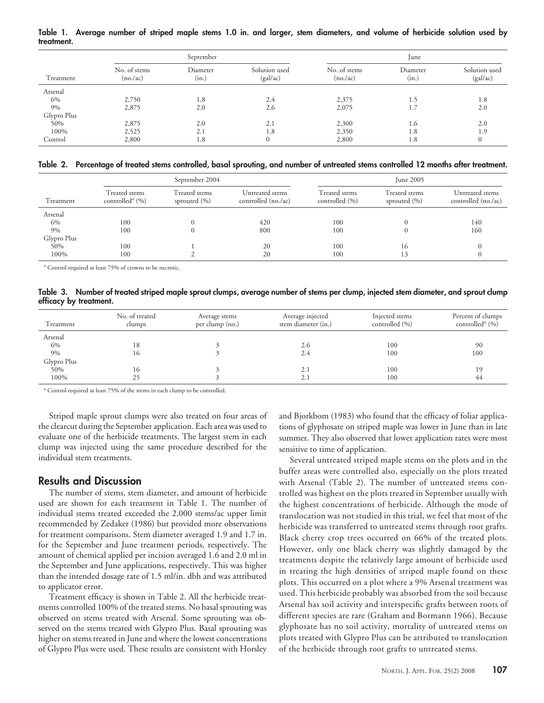**Table 1. Average number of striped maple stems 1.0 in. and larger, stem diameters, and volume of herbicide solution used by treatment.**

|             | September                 |                   |                           | June                      |                   |                           |
|-------------|---------------------------|-------------------|---------------------------|---------------------------|-------------------|---------------------------|
| Treatment   | No. of stems<br>(no. /ac) | Diameter<br>(in.) | Solution used<br>(gal/ac) | No. of stems<br>(no. /ac) | Diameter<br>(in.) | Solution used<br>(gal/ac) |
| Arsenal     |                           |                   |                           |                           |                   |                           |
| 6%          | 2,750                     | 1.8               | 2.4                       | 2,375                     | 1.5               | 1.8                       |
| 9%          | 2,875                     | 2.0               | 2.6                       | 2,075                     | 1.7               | 2.0                       |
| Glypro Plus |                           |                   |                           |                           |                   |                           |
| 50%         | 2,875                     | 2.0               | 2.1                       | 2,300                     | 1.6               | 2.0                       |
| 100%        | 2,525                     | 2.1               | 1.8                       | 2,350                     | 1.8               | 1.9                       |
| Control     | 2,800                     | 1.8               | $\overline{0}$            | 2,800                     | 1.8               | $\Omega$                  |

**Table 2. Percentage of treated stems controlled, basal sprouting, and number of untreated stems controlled 12 months after treatment.**

|             |                                                     | September 2004                    |                                        |                                 | <b>June 2005</b>                  |                                        |
|-------------|-----------------------------------------------------|-----------------------------------|----------------------------------------|---------------------------------|-----------------------------------|----------------------------------------|
| Treatment   | Treated stems<br>controlled <sup><i>a</i></sup> (%) | Treated stems<br>sprouted $(\% )$ | Untreated stems<br>controlled (no./ac) | Treated stems<br>controlled (%) | Treated stems<br>sprouted $(\% )$ | Untreated stems<br>controlled (no./ac) |
| Arsenal     |                                                     |                                   |                                        |                                 |                                   |                                        |
| 6%          | 100                                                 |                                   | 420                                    | 100                             |                                   | 140                                    |
| 9%          | 100                                                 | 0                                 | 800                                    | 100                             | $\Omega$                          | 160                                    |
| Glypro Plus |                                                     |                                   |                                        |                                 |                                   |                                        |
| 50%         | 100                                                 |                                   | 20                                     | 100                             | 16                                | $\Omega$                               |
| 100%        | 100                                                 |                                   | 20                                     | 100                             | 13                                | $\Omega$                               |

*<sup>a</sup>* Control required at least 75% of crowns to be necrotic.

**Table 3. Number of treated striped maple sprout clumps, average number of stems per clump, injected stem diameter, and sprout clump efficacy by treatment.**

| Treatment   | No. of treated<br>clumps | Average stems<br>per clump (no.) | Average injected<br>stem diameter (in.) | Injected stems<br>controlled (%) | Percent of clumps<br>controlled <sup><i>a</i></sup> (%) |
|-------------|--------------------------|----------------------------------|-----------------------------------------|----------------------------------|---------------------------------------------------------|
| Arsenal     |                          |                                  |                                         |                                  |                                                         |
| 6%          | 18                       |                                  | 2.6                                     | 100                              | 90                                                      |
| 9%          | 16                       |                                  | 2.4                                     | 100                              | 100                                                     |
| Glypro Plus |                          |                                  |                                         |                                  |                                                         |
| 50%         | 16                       |                                  | 2.1                                     | 100                              | 19                                                      |
| 100%        | 25                       |                                  | 2.1                                     | 100                              | 44                                                      |

*<sup>a</sup>* Control required at least 75% of the stems in each clump to be controlled.

Striped maple sprout clumps were also treated on four areas of the clearcut during the September application. Each area was used to evaluate one of the herbicide treatments. The largest stem in each clump was injected using the same procedure described for the individual stem treatments.

#### **Results and Discussion**

The number of stems, stem diameter, and amount of herbicide used are shown for each treatment in Table 1. The number of individual stems treated exceeded the 2,000 stems/ac upper limit recommended by Zedaker (1986) but provided more observations for treatment comparisons. Stem diameter averaged 1.9 and 1.7 in. for the September and June treatment periods, respectively. The amount of chemical applied per incision averaged 1.6 and 2.0 ml in the September and June applications, respectively. This was higher than the intended dosage rate of 1.5 ml/in. dbh and was attributed to applicator error.

Treatment efficacy is shown in Table 2. All the herbicide treatments controlled 100% of the treated stems. No basal sprouting was observed on stems treated with Arsenal. Some sprouting was observed on the stems treated with Glypro Plus. Basal sprouting was higher on stems treated in June and where the lowest concentrations of Glypro Plus were used. These results are consistent with Horsley and Bjorkbom (1983) who found that the efficacy of foliar applications of glyphosate on striped maple was lower in June than in late summer. They also observed that lower application rates were most sensitive to time of application.

Several untreated striped maple stems on the plots and in the buffer areas were controlled also, especially on the plots treated with Arsenal (Table 2). The number of untreated stems controlled was highest on the plots treated in September usually with the highest concentrations of herbicide. Although the mode of translocation was not studied in this trial, we feel that most of the herbicide was transferred to untreated stems through root grafts. Black cherry crop trees occurred on 66% of the treated plots. However, only one black cherry was slightly damaged by the treatments despite the relatively large amount of herbicide used in treating the high densities of striped maple found on these plots. This occurred on a plot where a 9% Arsenal treatment was used. This herbicide probably was absorbed from the soil because Arsenal has soil activity and interspecific grafts between roots of different species are rare (Graham and Bormann 1966). Because glyphosate has no soil activity, mortality of untreated stems on plots treated with Glypro Plus can be attributed to translocation of the herbicide through root grafts to untreated stems.